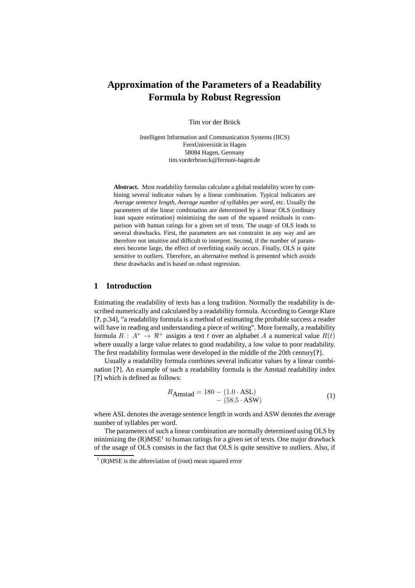# **Approximation of the Parameters of a Readability Formula by Robust Regression**

Tim vor der Brück

Intelligent Information and Communication Systems (IICS) FernUniversität in Hagen 58084 Hagen, Germany tim.vorderbrueck@fernuni-hagen.de

**Abstract.** Most readability formulas calculate a global readability score by combining several indicator values by a linear combination. Typical indicators are *Average sentence length*, *Average number of syllables per word*, etc. Usually the parameters of the linear combination are determined by a linear OLS (ordinary least square estimation) minimizing the sum of the squared residuals in comparison with human ratings for a given set of texts. The usage of OLS leads to several drawbacks. First, the parameters are not constraint in any way and are therefore not intuitive and difficult to interpret. Second, if the number of parameters become large, the effect of overfitting easily occurs. Finally, OLS is quite sensitive to outliers. Therefore, an alternative method is presented which avoids these drawbacks and is based on robust regression.

## **1 Introduction**

Estimating the readability of texts has a long tradition. Normally the readability is described numerically and calculated by a readability formula. According to George Klare [**?**, p.34], "a readability formula is a method of estimating the probable success a reader will have in reading and understanding a piece of writing". More formally, a readability formula  $R : A^* \to \mathbb{R}^+$  assigns a text t over an alphabet A a numerical value  $R(t)$ where usually a large value relates to good readability, a low value to poor readability. The first readability formulas were developed in the middle of the 20th century[**?**].

Usually a readability formula combines several indicator values by a linear combination [**?**]. An example of such a readability formula is the Amstad readability index [**?**] which is defined as follows:

$$
R_{\text{Amstad}} = 180 - (1.0 \cdot \text{ASL}) - (58.5 \cdot \text{ASW}) \tag{1}
$$

where ASL denotes the average sentence length in words and ASW denotes the average number of syllables per word.

The parameters of such a linear combination are normally determined using OLS by minimizing the  $(R)MSE<sup>1</sup>$  to human ratings for a given set of texts. One major drawback of the usage of OLS consists in the fact that OLS is quite sensitive to outliers. Also, if

 $<sup>1</sup>$  (R)MSE is the abbreviation of (root) mean squared error</sup>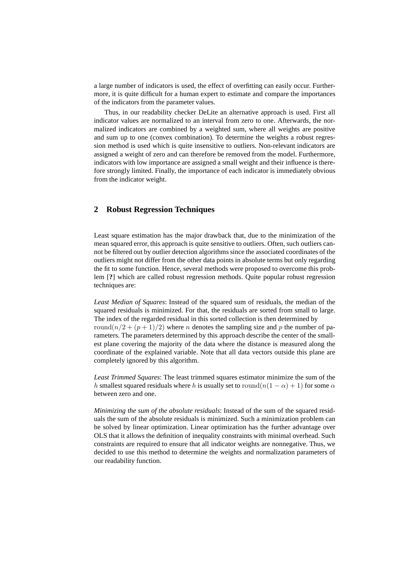a large number of indicators is used, the effect of overfitting can easily occur. Furthermore, it is quite difficult for a human expert to estimate and compare the importances of the indicators from the parameter values.

Thus, in our readability checker DeLite an alternative approach is used. First all indicator values are normalized to an interval from zero to one. Afterwards, the normalized indicators are combined by a weighted sum, where all weights are positive and sum up to one (convex combination). To determine the weights a robust regression method is used which is quite insensitive to outliers. Non-relevant indicators are assigned a weight of zero and can therefore be removed from the model. Furthermore, indicators with low importance are assigned a small weight and their influence is therefore strongly limited. Finally, the importance of each indicator is immediately obvious from the indicator weight.

# **2 Robust Regression Techniques**

Least square estimation has the major drawback that, due to the minimization of the mean squared error, this approach is quite sensitive to outliers. Often, such outliers cannot be filtered out by outlier detection algorithms since the associated coordinates of the outliers might not differ from the other data points in absolute terms but only regarding the fit to some function. Hence, several methods were proposed to overcome this problem [**?**] which are called robust regression methods. Quite popular robust regression techniques are:

*Least Median of Squares*: Instead of the squared sum of residuals, the median of the squared residuals is minimized. For that, the residuals are sorted from small to large. The index of the regarded residual in this sorted collection is then determined by round( $n/2 + (p + 1)/2$ ) where *n* denotes the sampling size and *p* the number of parameters. The parameters determined by this approach describe the center of the smallest plane covering the majority of the data where the distance is measured along the coordinate of the explained variable. Note that all data vectors outside this plane are completely ignored by this algorithm.

*Least Trimmed Squares*: The least trimmed squares estimator minimize the sum of the h smallest squared residuals where h is usually set to round $(n(1 - \alpha) + 1)$  for some  $\alpha$ between zero and one.

*Minimizing the sum of the absolute residuals*: Instead of the sum of the squared residuals the sum of the absolute residuals is minimized. Such a minimization problem can be solved by linear optimization. Linear optimization has the further advantage over OLS that it allows the definition of inequality constraints with minimal overhead. Such constraints are required to ensure that all indicator weights are nonnegative. Thus, we decided to use this method to determine the weights and normalization parameters of our readability function.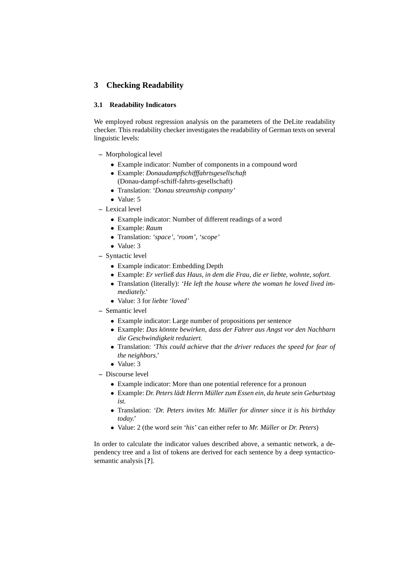# **3 Checking Readability**

#### **3.1 Readability Indicators**

We employed robust regression analysis on the parameters of the DeLite readability checker. This readability checker investigates the readability of German texts on several linguistic levels:

- **–** Morphological level
	- Example indicator: Number of components in a compound word
	- Example: *Donaudampfschifffahrtsgesellschaft* (Donau-dampf-schiff-fahrts-gesellschaft)
	- Translation: *'Donau streamship company'*
	- Value: 5
- **–** Lexical level
	- Example indicator: Number of different readings of a word
	- Example: *Raum*
	- Translation: *'space'*, *'room'*, *'scope'*
	- Value: 3
- **–** Syntactic level
	- Example indicator: Embedding Depth
	- Example: *Er verließ das Haus, in dem die Frau, die er liebte, wohnte, sofort.*
	- Translation (literally): *'He left the house where the woman he loved lived immediately.'*
	- Value: 3 for *liebte 'loved'*
- **–** Semantic level
	- Example indicator: Large number of propositions per sentence
	- Example: *Das konnte bewirken, dass der Fahrer aus Angst vor den Nachbarn ¨ die Geschwindigkeit reduziert.*
	- Translation: *'This could achieve that the driver reduces the speed for fear of the neighbors.'*
	- Value: 3
- **–** Discourse level
	- Example indicator: More than one potential reference for a pronoun
	- Example: *Dr. Peters ladt Herrn M ¨ uller zum Essen ein, da heute sein Geburtstag ¨ ist.*
	- Translation: *'Dr. Peters invites Mr. Müller for dinner since it is his birthday today.'*
	- Value: 2 (the word *sein 'his'* can either refer to *Mr. Müller* or *Dr. Peters*)

In order to calculate the indicator values described above, a semantic network, a dependency tree and a list of tokens are derived for each sentence by a deep syntacticosemantic analysis [**?**].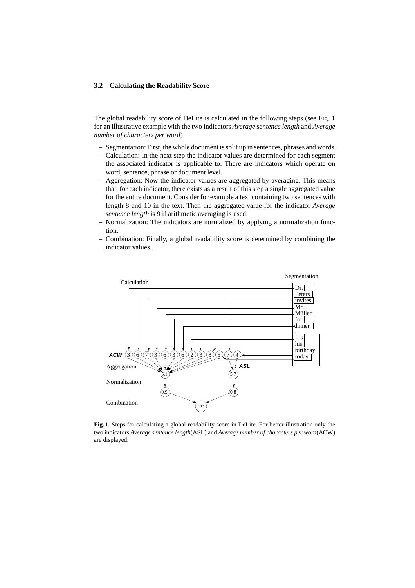#### **3.2 Calculating the Readability Score**

The global readability score of DeLite is calculated in the following steps (see Fig. 1 for an illustrative example with the two indicators *Average sentence length* and *Average number of characters per word*)

- **–** Segmentation: First, the whole document is split up in sentences, phrases and words.
- **–** Calculation: In the next step the indicator values are determined for each segment the associated indicator is applicable to. There are indicators which operate on word, sentence, phrase or document level.
- **–** Aggregation: Now the indicator values are aggregated by averaging. This means that, for each indicator, there exists as a result of this step a single aggregated value for the entire document. Consider for example a text containing two sentences with length 8 and 10 in the text. Then the aggregated value for the indicator *Average sentence length* is 9 if arithmetic averaging is used.
- **–** Normalization: The indicators are normalized by applying a normalization function.
- **–** Combination: Finally, a global readability score is determined by combining the indicator values.



**Fig. 1.** Steps for calculating a global readability score in DeLite. For better illustration only the two indicators *Average sentence length*(ASL) and *Average number of characters per word*(ACW) are displayed.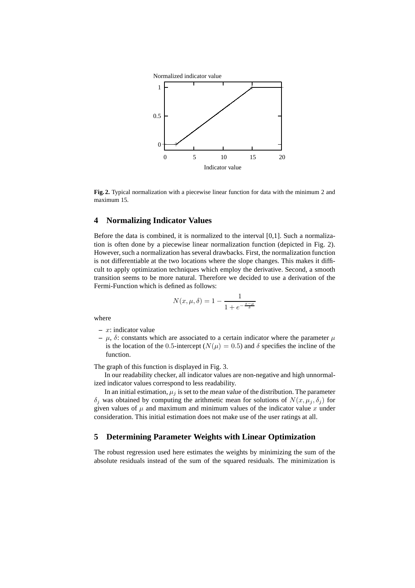

**Fig. 2.** Typical normalization with a piecewise linear function for data with the minimum 2 and maximum 15.

## **4 Normalizing Indicator Values**

Before the data is combined, it is normalized to the interval [0,1]. Such a normalization is often done by a piecewise linear normalization function (depicted in Fig. 2). However, such a normalization has several drawbacks. First, the normalization function is not differentiable at the two locations where the slope changes. This makes it difficult to apply optimization techniques which employ the derivative. Second, a smooth transition seems to be more natural. Therefore we decided to use a derivation of the Fermi-Function which is defined as follows:

$$
N(x, \mu, \delta) = 1 - \frac{1}{1 + e^{-\frac{x - \mu}{\delta}}}
$$

where

- **–** x: indicator value
- **–** µ, δ: constants which are associated to a certain indicator where the parameter µ is the location of the 0.5-intercept ( $N(\mu) = 0.5$ ) and  $\delta$  specifies the incline of the function.

The graph of this function is displayed in Fig. 3.

In our readability checker, all indicator values are non-negative and high unnormalized indicator values correspond to less readability.

In an initial estimation,  $\mu_i$  is set to the mean value of the distribution. The parameter  $\delta_j$  was obtained by computing the arithmetic mean for solutions of  $N(x, \mu_j, \delta_j)$  for given values of  $\mu$  and maximum and minimum values of the indicator value x under consideration. This initial estimation does not make use of the user ratings at all.

#### **5 Determining Parameter Weights with Linear Optimization**

The robust regression used here estimates the weights by minimizing the sum of the absolute residuals instead of the sum of the squared residuals. The minimization is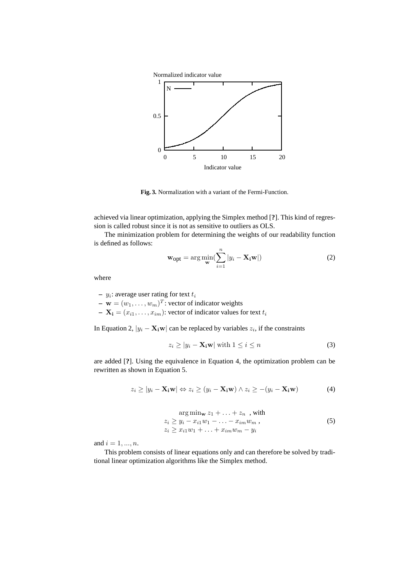

**Fig. 3.** Normalization with a variant of the Fermi-Function.

achieved via linear optimization, applying the Simplex method [**?**]. This kind of regression is called robust since it is not as sensitive to outliers as OLS.

The minimization problem for determining the weights of our readability function is defined as follows:

$$
\mathbf{w}_{\text{opt}} = \arg \min_{\mathbf{w}} (\sum_{i=1}^{n} |y_i - \mathbf{X}_i \mathbf{w}|) \tag{2}
$$

where

 $y_i$ : average user rating for text  $t_i$ 

 $-$  **w** =  $(w_1, \ldots, w_m)^T$ : vector of indicator weights

 $\mathbf{X_i} = (x_{i1}, \dots, x_{im})$ : vector of indicator values for text  $t_i$ 

In Equation 2,  $|y_i - \mathbf{X}_i \mathbf{w}|$  can be replaced by variables  $z_i$ , if the constraints

$$
z_i \ge |y_i - \mathbf{X_i w}| \text{ with } 1 \le i \le n \tag{3}
$$

are added [**?**]. Using the equivalence in Equation 4, the optimization problem can be rewritten as shown in Equation 5.

$$
z_i \ge |y_i - \mathbf{X_i w}| \Leftrightarrow z_i \ge (y_i - \mathbf{X_i w}) \wedge z_i \ge -(y_i - \mathbf{X_i w}) \tag{4}
$$

$$
\arg \min_{\mathbf{w}} z_1 + \dots + z_n \text{ , with}
$$
  
\n
$$
z_i \ge y_i - x_{i1} w_1 - \dots - x_{im} w_m ,
$$
  
\n
$$
z_i \ge x_{i1} w_1 + \dots + x_{im} w_m - y_i
$$
\n(5)

and  $i = 1, ..., n$ .

This problem consists of linear equations only and can therefore be solved by traditional linear optimization algorithms like the Simplex method.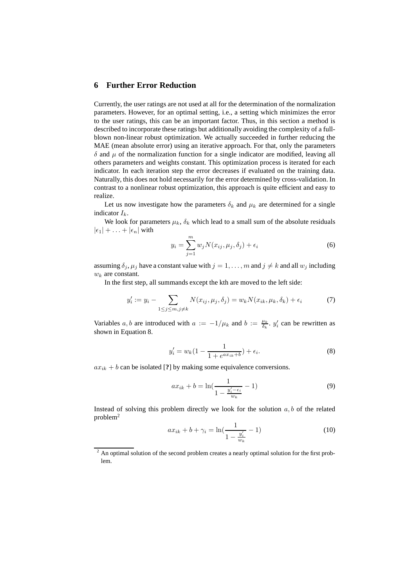## **6 Further Error Reduction**

Currently, the user ratings are not used at all for the determination of the normalization parameters. However, for an optimal setting, i.e., a setting which minimizes the error to the user ratings, this can be an important factor. Thus, in this section a method is described to incorporate these ratings but additionally avoiding the complexity of a fullblown non-linear robust optimization. We actually succeeded in further reducing the MAE (mean absolute error) using an iterative approach. For that, only the parameters  $\delta$  and  $\mu$  of the normalization function for a single indicator are modified, leaving all others parameters and weights constant. This optimization process is iterated for each indicator. In each iteration step the error decreases if evaluated on the training data. Naturally, this does not hold necessarily for the error determined by cross-validation. In contrast to a nonlinear robust optimization, this approach is quite efficient and easy to realize.

Let us now investigate how the parameters  $\delta_k$  and  $\mu_k$  are determined for a single indicator  $I_k$ .

We look for parameters  $\mu_k$ ,  $\delta_k$  which lead to a small sum of the absolute residuals  $|\epsilon_1| + \ldots + |\epsilon_n|$  with

$$
y_i = \sum_{j=1}^{m} w_j N(x_{ij}, \mu_j, \delta_j) + \epsilon_i
$$
 (6)

assuming  $\delta_j$ ,  $\mu_j$  have a constant value with  $j = 1, \ldots, m$  and  $j \neq k$  and all  $w_j$  including  $w_k$  are constant.

In the first step, all summands except the kth are moved to the left side:

$$
y_i' := y_i - \sum_{1 \le j \le m, j \ne k} N(x_{ij}, \mu_j, \delta_j) = w_k N(x_{ik}, \mu_k, \delta_k) + \epsilon_i \tag{7}
$$

Variables  $a, b$  are introduced with  $a := -1/\mu_k$  and  $b := \frac{\mu_k}{\delta_k}$ .  $y'_i$  can be rewritten as shown in Equation 8.

$$
y'_{i} = w_{k}(1 - \frac{1}{1 + e^{ax_{ik} + b}}) + \epsilon_{i}.
$$
 (8)

 $ax_{ik} + b$  can be isolated [?] by making some equivalence conversions.

$$
ax_{ik} + b = \ln(\frac{1}{1 - \frac{y_i' - \epsilon_i}{w_k}} - 1)
$$
\n(9)

Instead of solving this problem directly we look for the solution  $a, b$  of the related problem<sup>2</sup>

$$
ax_{ik} + b + \gamma_i = \ln\left(\frac{1}{1 - \frac{y_i'}{w_k}} - 1\right)
$$
 (10)

<sup>&</sup>lt;sup>2</sup> An optimal solution of the second problem creates a nearly optimal solution for the first problem.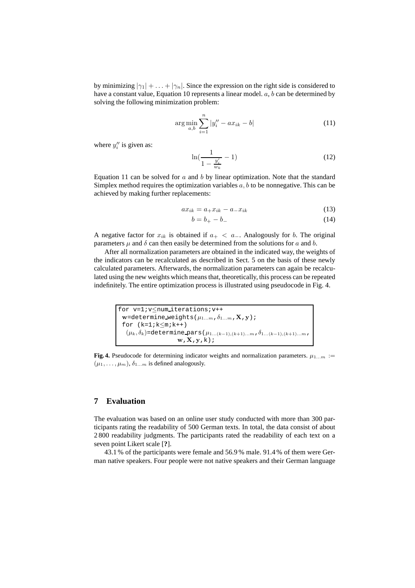by minimizing  $|\gamma_1| + \ldots + |\gamma_n|$ . Since the expression on the right side is considered to have a constant value, Equation 10 represents a linear model.  $a, b$  can be determined by solving the following minimization problem:

$$
\arg\min_{a,b} \sum_{i=1}^{n} |y''_i - ax_{ik} - b| \tag{11}
$$

where  $y''_i$  is given as:

$$
\ln(\frac{1}{1 - \frac{y_i'}{w_k}} - 1) \tag{12}
$$

Equation 11 can be solved for  $a$  and  $b$  by linear optimization. Note that the standard Simplex method requires the optimization variables  $a, b$  to be nonnegative. This can be achieved by making further replacements:

$$
ax_{ik} = a_+x_{ik} - a_-x_{ik} \tag{13}
$$

$$
b = b_{+} - b_{-} \tag{14}
$$

A negative factor for  $x_{ik}$  is obtained if  $a_{+} < a_{-}$ . Analogously for b. The original parameters  $\mu$  and  $\delta$  can then easily be determined from the solutions for a and b.

After all normalization parameters are obtained in the indicated way, the weights of the indicators can be recalculated as described in Sect. 5 on the basis of these newly calculated parameters. Afterwards, the normalization parameters can again be recalculated using the new weights which means that, theoretically, this process can be repeated indefinitely. The entire optimization process is illustrated using pseudocode in Fig. 4.

```
for v=1; v<num_iterations; v++
\mathbf{w}=determine weights(\mu_{1...m},\delta_{1...m},\mathbf{X},\mathbf{y});
for (k=1; k\leq m; k++)(\mu_k,\delta_k)\texttt{=determine\_pars}\,(\mu_{1...(k-1),(k+1)...m},\delta_{1...(k-1),(k+1)...m},\mathbf{w} , \mathbf{X} , \mathbf{y} , \mathbf{k} ) i
```
**Fig. 4.** Pseudocode for determining indicator weights and normalization parameters.  $\mu_{1...m}$  :=  $(\mu_1, \ldots, \mu_m), \delta_{1 \ldots m}$  is defined analogously.

#### **7 Evaluation**

The evaluation was based on an online user study conducted with more than 300 participants rating the readability of 500 German texts. In total, the data consist of about 2 800 readability judgments. The participants rated the readability of each text on a seven point Likert scale [**?**].

43.1 % of the participants were female and 56.9 % male. 91.4 % of them were German native speakers. Four people were not native speakers and their German language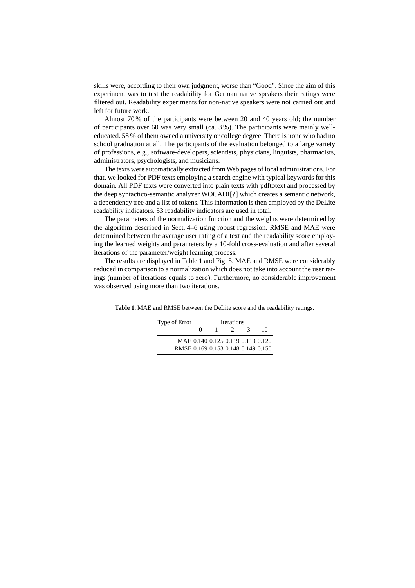skills were, according to their own judgment, worse than "Good". Since the aim of this experiment was to test the readability for German native speakers their ratings were filtered out. Readability experiments for non-native speakers were not carried out and left for future work.

Almost 70 % of the participants were between 20 and 40 years old; the number of participants over 60 was very small (ca. 3 %). The participants were mainly welleducated. 58 % of them owned a university or college degree. There is none who had no school graduation at all. The participants of the evaluation belonged to a large variety of professions, e.g., software-developers, scientists, physicians, linguists, pharmacists, administrators, psychologists, and musicians.

The texts were automatically extracted from Web pages of local administrations. For that, we looked for PDF texts employing a search engine with typical keywords for this domain. All PDF texts were converted into plain texts with pdftotext and processed by the deep syntactico-semantic analyzer WOCADI[**?**] which creates a semantic network, a dependency tree and a list of tokens. This information is then employed by the DeLite readability indicators. 53 readability indicators are used in total.

The parameters of the normalization function and the weights were determined by the algorithm described in Sect. 4–6 using robust regression. RMSE and MAE were determined between the average user rating of a text and the readability score employing the learned weights and parameters by a 10-fold cross-evaluation and after several iterations of the parameter/weight learning process.

The results are displayed in Table 1 and Fig. 5. MAE and RMSE were considerably reduced in comparison to a normalization which does not take into account the user ratings (number of iterations equals to zero). Furthermore, no considerable improvement was observed using more than two iterations.

**Table 1.** MAE and RMSE between the DeLite score and the readability ratings.

| Type of Error                      | Iterations   |                                   |               |               |    |
|------------------------------------|--------------|-----------------------------------|---------------|---------------|----|
|                                    | $\mathbf{a}$ |                                   | $\mathcal{L}$ | $\mathcal{R}$ | 10 |
|                                    |              | MAE 0.140 0.125 0.119 0.119 0.120 |               |               |    |
| RMSE 0.169 0.153 0.148 0.149 0.150 |              |                                   |               |               |    |